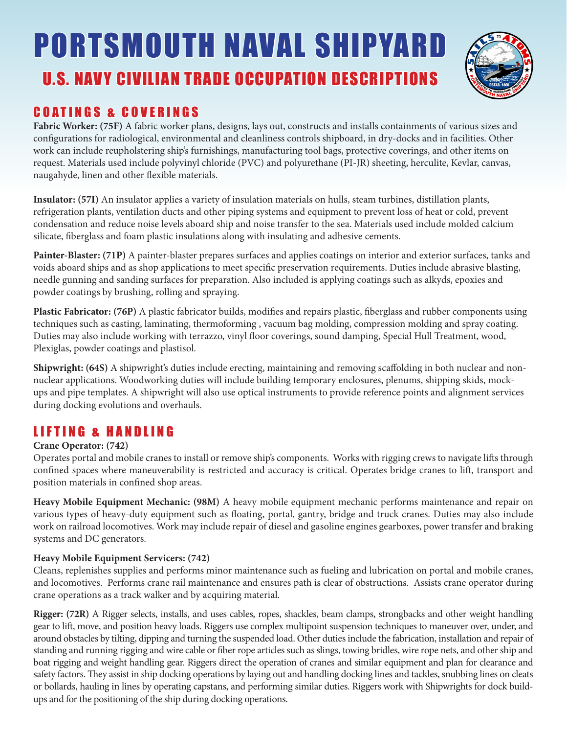# U.S. NAVY CIVILIAN TRADE OCCUPATION DESCRIPTIONS PORTSMOUTH NAVAL SHIPYARD



### COATINGS & COVERINGS

**Fabric Worker: (75F)** A fabric worker plans, designs, lays out, constructs and installs containments of various sizes and configurations for radiological, environmental and cleanliness controls shipboard, in dry-docks and in facilities. Other work can include reupholstering ship's furnishings, manufacturing tool bags, protective coverings, and other items on request. Materials used include polyvinyl chloride (PVC) and polyurethane (PI-JR) sheeting, herculite, Kevlar, canvas, naugahyde, linen and other flexible materials.

**Insulator: (57I)** An insulator applies a variety of insulation materials on hulls, steam turbines, distillation plants, refrigeration plants, ventilation ducts and other piping systems and equipment to prevent loss of heat or cold, prevent condensation and reduce noise levels aboard ship and noise transfer to the sea. Materials used include molded calcium silicate, fiberglass and foam plastic insulations along with insulating and adhesive cements.

**Painter-Blaster: (71P)** A painter-blaster prepares surfaces and applies coatings on interior and exterior surfaces, tanks and voids aboard ships and as shop applications to meet specific preservation requirements. Duties include abrasive blasting, needle gunning and sanding surfaces for preparation. Also included is applying coatings such as alkyds, epoxies and powder coatings by brushing, rolling and spraying.

**Plastic Fabricator: (76P)** A plastic fabricator builds, modifies and repairs plastic, fiberglass and rubber components using techniques such as casting, laminating, thermoforming , vacuum bag molding, compression molding and spray coating. Duties may also include working with terrazzo, vinyl floor coverings, sound damping, Special Hull Treatment, wood, Plexiglas, powder coatings and plastisol.

**Shipwright: (64S)** A shipwright's duties include erecting, maintaining and removing scaffolding in both nuclear and nonnuclear applications. Woodworking duties will include building temporary enclosures, plenums, shipping skids, mockups and pipe templates. A shipwright will also use optical instruments to provide reference points and alignment services during docking evolutions and overhauls.

## LIFTING & HANDLING

#### **Crane Operator: (742)**

Operates portal and mobile cranes to install or remove ship's components. Works with rigging crews to navigate lifts through confined spaces where maneuverability is restricted and accuracy is critical. Operates bridge cranes to lift, transport and position materials in confined shop areas.

**Heavy Mobile Equipment Mechanic: (98M)** A heavy mobile equipment mechanic performs maintenance and repair on various types of heavy-duty equipment such as floating, portal, gantry, bridge and truck cranes. Duties may also include work on railroad locomotives. Work may include repair of diesel and gasoline engines gearboxes, power transfer and braking systems and DC generators.

#### **Heavy Mobile Equipment Servicers: (742)**

Cleans, replenishes supplies and performs minor maintenance such as fueling and lubrication on portal and mobile cranes, and locomotives. Performs crane rail maintenance and ensures path is clear of obstructions. Assists crane operator during crane operations as a track walker and by acquiring material.

**Rigger: (72R)** A Rigger selects, installs, and uses cables, ropes, shackles, beam clamps, strongbacks and other weight handling gear to lift, move, and position heavy loads. Riggers use complex multipoint suspension techniques to maneuver over, under, and around obstacles by tilting, dipping and turning the suspended load. Other duties include the fabrication, installation and repair of standing and running rigging and wire cable or fiber rope articles such as slings, towing bridles, wire rope nets, and other ship and boat rigging and weight handling gear. Riggers direct the operation of cranes and similar equipment and plan for clearance and safety factors. They assist in ship docking operations by laying out and handling docking lines and tackles, snubbing lines on cleats or bollards, hauling in lines by operating capstans, and performing similar duties. Riggers work with Shipwrights for dock buildups and for the positioning of the ship during docking operations.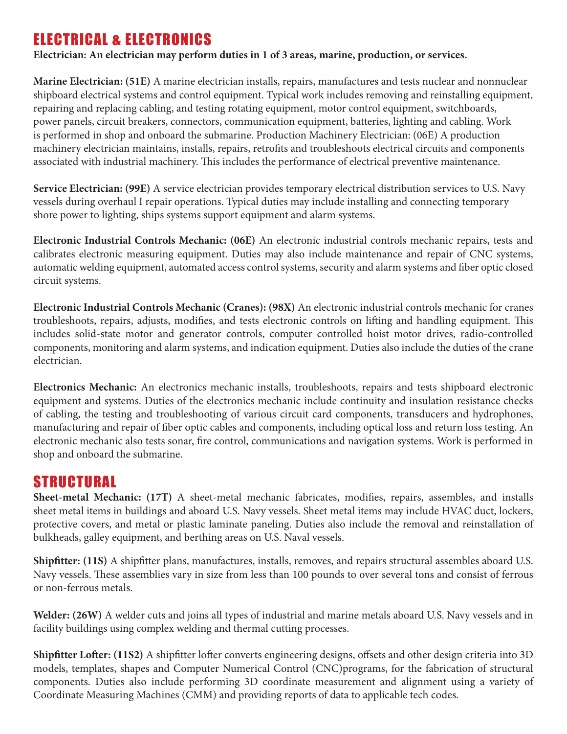# ELECTRICAL & ELECTRONICS

**Electrician: An electrician may perform duties in 1 of 3 areas, marine, production, or services.**

**Marine Electrician: (51E)** A marine electrician installs, repairs, manufactures and tests nuclear and nonnuclear shipboard electrical systems and control equipment. Typical work includes removing and reinstalling equipment, repairing and replacing cabling, and testing rotating equipment, motor control equipment, switchboards, power panels, circuit breakers, connectors, communication equipment, batteries, lighting and cabling. Work is performed in shop and onboard the submarine. Production Machinery Electrician: (06E) A production machinery electrician maintains, installs, repairs, retrofits and troubleshoots electrical circuits and components associated with industrial machinery. This includes the performance of electrical preventive maintenance.

**Service Electrician: (99E)** A service electrician provides temporary electrical distribution services to U.S. Navy vessels during overhaul I repair operations. Typical duties may include installing and connecting temporary shore power to lighting, ships systems support equipment and alarm systems.

**Electronic Industrial Controls Mechanic: (06E)** An electronic industrial controls mechanic repairs, tests and calibrates electronic measuring equipment. Duties may also include maintenance and repair of CNC systems, automatic welding equipment, automated access control systems, security and alarm systems and fiber optic closed circuit systems.

**Electronic Industrial Controls Mechanic (Cranes): (98X)** An electronic industrial controls mechanic for cranes troubleshoots, repairs, adjusts, modifies, and tests electronic controls on lifting and handling equipment. This includes solid-state motor and generator controls, computer controlled hoist motor drives, radio-controlled components, monitoring and alarm systems, and indication equipment. Duties also include the duties of the crane electrician.

**Electronics Mechanic:** An electronics mechanic installs, troubleshoots, repairs and tests shipboard electronic equipment and systems. Duties of the electronics mechanic include continuity and insulation resistance checks of cabling, the testing and troubleshooting of various circuit card components, transducers and hydrophones, manufacturing and repair of fiber optic cables and components, including optical loss and return loss testing. An electronic mechanic also tests sonar, fire control, communications and navigation systems. Work is performed in shop and onboard the submarine.

# STRUCTURAL

**Sheet-metal Mechanic: (17T)** A sheet-metal mechanic fabricates, modifies, repairs, assembles, and installs sheet metal items in buildings and aboard U.S. Navy vessels. Sheet metal items may include HVAC duct, lockers, protective covers, and metal or plastic laminate paneling. Duties also include the removal and reinstallation of bulkheads, galley equipment, and berthing areas on U.S. Naval vessels.

**Shipfitter: (11S)** A shipfitter plans, manufactures, installs, removes, and repairs structural assembles aboard U.S. Navy vessels. These assemblies vary in size from less than 100 pounds to over several tons and consist of ferrous or non-ferrous metals.

**Welder: (26W)** A welder cuts and joins all types of industrial and marine metals aboard U.S. Navy vessels and in facility buildings using complex welding and thermal cutting processes.

**Shipfitter Lofter: (11S2)** A shipfitter lofter converts engineering designs, offsets and other design criteria into 3D models, templates, shapes and Computer Numerical Control (CNC)programs, for the fabrication of structural components. Duties also include performing 3D coordinate measurement and alignment using a variety of Coordinate Measuring Machines (CMM) and providing reports of data to applicable tech codes.